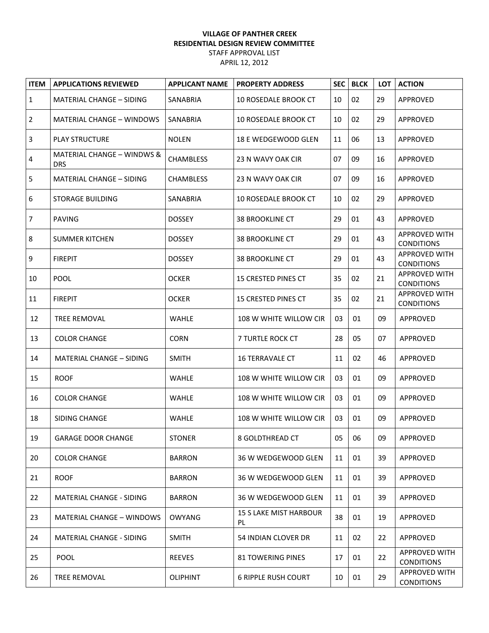## **VILLAGE OF PANTHER CREEK RESIDENTIAL DESIGN REVIEW COMMITTEE** STAFF APPROVAL LIST

APRIL 12, 2012

| <b>ITEM</b>    | <b>APPLICATIONS REVIEWED</b>             | <b>APPLICANT NAME</b> | <b>PROPERTY ADDRESS</b>             | <b>SEC</b> | <b>BLCK</b> | <b>LOT</b> | <b>ACTION</b>                             |
|----------------|------------------------------------------|-----------------------|-------------------------------------|------------|-------------|------------|-------------------------------------------|
| $\mathbf{1}$   | <b>MATERIAL CHANGE - SIDING</b>          | <b>SANABRIA</b>       | <b>10 ROSEDALE BROOK CT</b>         | 10         | 02          | 29         | APPROVED                                  |
| $\overline{2}$ | <b>MATERIAL CHANGE - WINDOWS</b>         | SANABRIA              | <b>10 ROSEDALE BROOK CT</b>         | 10         | 02          | 29         | APPROVED                                  |
| 3              | <b>PLAY STRUCTURE</b>                    | <b>NOLEN</b>          | 18 E WEDGEWOOD GLEN                 | 11         | 06          | 13         | APPROVED                                  |
| 4              | MATERIAL CHANGE - WINDWS &<br><b>DRS</b> | <b>CHAMBLESS</b>      | 23 N WAVY OAK CIR                   | 07         | 09          | 16         | APPROVED                                  |
| 5              | <b>MATERIAL CHANGE - SIDING</b>          | <b>CHAMBLESS</b>      | 23 N WAVY OAK CIR                   | 07         | 09          | 16         | APPROVED                                  |
| 6              | <b>STORAGE BUILDING</b>                  | SANABRIA              | <b>10 ROSEDALE BROOK CT</b>         | 10         | 02          | 29         | APPROVED                                  |
| $\overline{7}$ | <b>PAVING</b>                            | <b>DOSSEY</b>         | <b>38 BROOKLINE CT</b>              | 29         | 01          | 43         | APPROVED                                  |
| 8              | <b>SUMMER KITCHEN</b>                    | <b>DOSSEY</b>         | <b>38 BROOKLINE CT</b>              | 29         | 01          | 43         | <b>APPROVED WITH</b><br><b>CONDITIONS</b> |
| 9              | <b>FIREPIT</b>                           | <b>DOSSEY</b>         | <b>38 BROOKLINE CT</b>              | 29         | 01          | 43         | <b>APPROVED WITH</b><br><b>CONDITIONS</b> |
| 10             | <b>POOL</b>                              | <b>OCKER</b>          | <b>15 CRESTED PINES CT</b>          | 35         | 02          | 21         | <b>APPROVED WITH</b><br><b>CONDITIONS</b> |
| 11             | <b>FIREPIT</b>                           | <b>OCKER</b>          | 15 CRESTED PINES CT                 | 35         | 02          | 21         | <b>APPROVED WITH</b><br><b>CONDITIONS</b> |
| 12             | TREE REMOVAL                             | <b>WAHLE</b>          | 108 W WHITE WILLOW CIR              | 03         | 01          | 09         | APPROVED                                  |
| 13             | <b>COLOR CHANGE</b>                      | <b>CORN</b>           | 7 TURTLE ROCK CT                    | 28         | 05          | 07         | APPROVED                                  |
| 14             | <b>MATERIAL CHANGE - SIDING</b>          | <b>SMITH</b>          | <b>16 TERRAVALE CT</b>              | 11         | 02          | 46         | APPROVED                                  |
| 15             | <b>ROOF</b>                              | <b>WAHLE</b>          | 108 W WHITE WILLOW CIR              | 03         | 01          | 09         | APPROVED                                  |
| 16             | <b>COLOR CHANGE</b>                      | <b>WAHLE</b>          | 108 W WHITE WILLOW CIR              | 03         | 01          | 09         | <b>APPROVED</b>                           |
| 18             | SIDING CHANGE                            | <b>WAHLE</b>          | 108 W WHITE WILLOW CIR              | 03         | 01          | 09         | APPROVED                                  |
| 19             | <b>GARAGE DOOR CHANGE</b>                | <b>STONER</b>         | 8 GOLDTHREAD CT                     | 05         | 06          | 09         | APPROVED                                  |
| 20             | <b>COLOR CHANGE</b>                      | <b>BARRON</b>         | 36 W WEDGEWOOD GLEN                 | 11         | 01          | 39         | <b>APPROVED</b>                           |
| 21             | <b>ROOF</b>                              | <b>BARRON</b>         | 36 W WEDGEWOOD GLEN                 | 11         | 01          | 39         | APPROVED                                  |
| 22             | <b>MATERIAL CHANGE - SIDING</b>          | <b>BARRON</b>         | 36 W WEDGEWOOD GLEN                 | 11         | 01          | 39         | APPROVED                                  |
| 23             | <b>MATERIAL CHANGE - WINDOWS</b>         | <b>OWYANG</b>         | <b>15 S LAKE MIST HARBOUR</b><br>PL | 38         | 01          | 19         | APPROVED                                  |
| 24             | <b>MATERIAL CHANGE - SIDING</b>          | <b>SMITH</b>          | 54 INDIAN CLOVER DR                 | 11         | 02          | 22         | <b>APPROVED</b>                           |
| 25             | <b>POOL</b>                              | <b>REEVES</b>         | <b>81 TOWERING PINES</b>            | 17         | 01          | 22         | APPROVED WITH<br><b>CONDITIONS</b>        |
| 26             | <b>TREE REMOVAL</b>                      | <b>OLIPHINT</b>       | <b>6 RIPPLE RUSH COURT</b>          | 10         | 01          | 29         | APPROVED WITH<br><b>CONDITIONS</b>        |